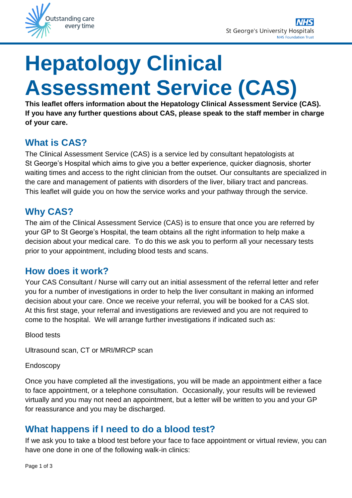

# **Hepatology Clinical Assessment Service (CAS)**

**This leaflet offers information about the Hepatology Clinical Assessment Service (CAS). If you have any further questions about CAS, please speak to the staff member in charge of your care.**

# **What is CAS?**

The Clinical Assessment Service (CAS) is a service led by consultant hepatologists at St George's Hospital which aims to give you a better experience, quicker diagnosis, shorter waiting times and access to the right clinician from the outset. Our consultants are specialized in the care and management of patients with disorders of the liver, biliary tract and pancreas. This leaflet will guide you on how the service works and your pathway through the service.

## **Why CAS?**

The aim of the Clinical Assessment Service (CAS) is to ensure that once you are referred by your GP to St George's Hospital, the team obtains all the right information to help make a decision about your medical care. To do this we ask you to perform all your necessary tests prior to your appointment, including blood tests and scans.

## **How does it work?**

Your CAS Consultant / Nurse will carry out an initial assessment of the referral letter and refer you for a number of investigations in order to help the liver consultant in making an informed decision about your care. Once we receive your referral, you will be booked for a CAS slot. At this first stage, your referral and investigations are reviewed and you are not required to come to the hospital. We will arrange further investigations if indicated such as:

Blood tests

Ultrasound scan, CT or MRI/MRCP scan

#### Endoscopy

Once you have completed all the investigations, you will be made an appointment either a face to face appointment, or a telephone consultation. Occasionally, your results will be reviewed virtually and you may not need an appointment, but a letter will be written to you and your GP for reassurance and you may be discharged.

## **What happens if I need to do a blood test?**

If we ask you to take a blood test before your face to face appointment or virtual review, you can have one done in one of the following walk-in clinics: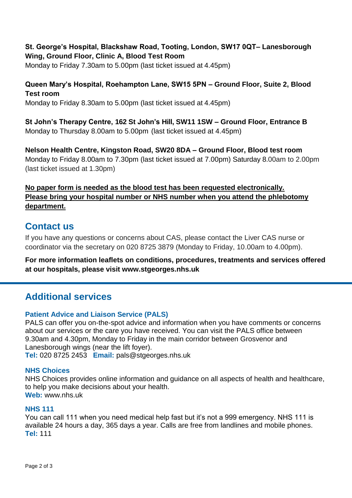**St. George's Hospital, Blackshaw Road, Tooting, London, SW17 0QT– Lanesborough Wing, Ground Floor, Clinic A, Blood Test Room**

Monday to Friday 7.30am to 5.00pm (last ticket issued at 4.45pm)

## **Queen Mary's Hospital, Roehampton Lane, SW15 5PN – Ground Floor, Suite 2, Blood Test room**

Monday to Friday 8.30am to 5.00pm (last ticket issued at 4.45pm)

**St John's Therapy Centre, 162 St John's Hill, SW11 1SW – Ground Floor, Entrance B**  Monday to Thursday 8.00am to 5.00pm (last ticket issued at 4.45pm)

**Nelson Health Centre, Kingston Road, SW20 8DA – Ground Floor, Blood test room**  Monday to Friday 8.00am to 7.30pm (last ticket issued at 7.00pm) Saturday 8.00am to 2.00pm (last ticket issued at 1.30pm)

### **No paper form is needed as the blood test has been requested electronically. Please bring your hospital number or NHS number when you attend the phlebotomy department.**

## **Contact us**

If you have any questions or concerns about CAS, please contact the Liver CAS nurse or coordinator via the secretary on 020 8725 3879 (Monday to Friday, 10.00am to 4.00pm).

**For more information leaflets on conditions, procedures, treatments and services offered at our hospitals, please visit www.stgeorges.nhs.uk**

## **Additional services**

#### **Patient Advice and Liaison Service (PALS)**

PALS can offer you on-the-spot advice and information when you have comments or concerns about our services or the care you have received. You can visit the PALS office between 9.30am and 4.30pm, Monday to Friday in the main corridor between Grosvenor and Lanesborough wings (near the lift foyer).

**Tel:** 020 8725 2453 **Email:** pals@stgeorges.nhs.uk

#### **NHS Choices**

NHS Choices provides online information and guidance on all aspects of health and healthcare, to help you make decisions about your health. **Web:** www.nhs.uk

#### **NHS 111**

You can call 111 when you need medical help fast but it's not a 999 emergency. NHS 111 is available 24 hours a day, 365 days a year. Calls are free from landlines and mobile phones. **Tel:** 111